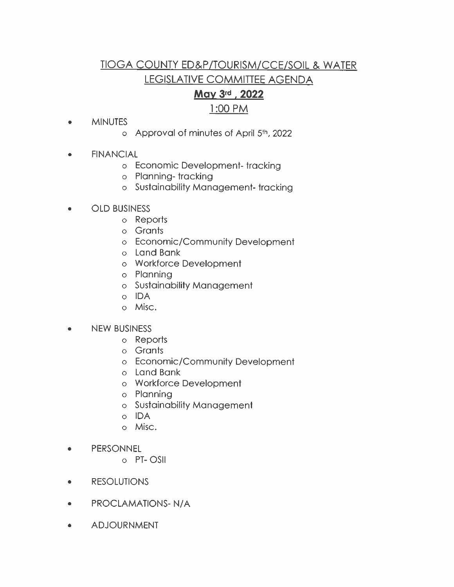## **TIOGA COUNTY ED&P/TOURISM/CCE/SOIL & WATER** LEGISLATIVE COMMITTEE AGENDA

## May 3rd, 2022

## 1:00 PM

#### **MINUTES**  $\bullet$

- o Approval of minutes of April 5th, 2022
- **FINANCIAL**  $\bullet$ 
	- o Economic Development-tracking
	- o Planning-tracking
	- o Sustainability Management-tracking
- **OLD BUSINESS**  $\bullet$ 
	- o Reports
	- o Grants
	- o Economic/Community Development
	- o Land Bank
	- o Workforce Development
	- o Planning
	- o Sustainability Management
	- o IDA
	- o Misc.
- **NEW BUSINESS**  $\bullet$ 
	- o Reports
	- o Grants
	- o Economic/Community Development
	- o Land Bank
	- o Workforce Development
	- o Planning
	- o Sustainability Management
	- o IDA
	- o Misc.
- **PERSONNEL**  $\bullet$ 
	- o PT-OSII
- **RESOLUTIONS**  $\bullet$
- **PROCLAMATIONS-N/A**  $\bullet$
- **ADJOURNMENT**  $\bullet$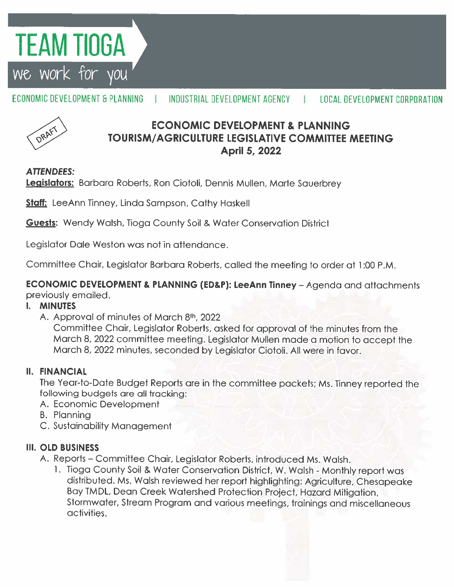# **TEAM TIOGA**

we work for you

#### ECONOMIC DEVELOPMENT & PI ANNING INDUSTRIAL DEVELOPMENT AGENCY **LOCAL DEVELOPMENT CORPORATION**



## **ECONOMIC DEVELOPMENT & PLANNING** TOURISM/AGRICULTURE LEGISLATIVE COMMITTEE MEETING **April 5, 2022**

## **ATTENDEES:**

Legislators: Barbara Roberts, Ron Ciotoli, Dennis Mullen, Marte Sauerbrey

**Staff:** LeeAnn Tinney, Linda Sampson, Cathy Haskell

**Guests:** Wendy Walsh, Tioga County Soil & Water Conservation District

Legislator Dale Weston was not in attendance.

Committee Chair, Legislator Barbara Roberts, called the meeting to order at 1:00 P.M.

**ECONOMIC DEVELOPMENT & PLANNING (ED&P): LeeAnn Tinney - Agenda and attachments** previously emailed.

### **I. MINUTES**

A. Approval of minutes of March 8th, 2022

Committee Chair, Legislator Roberts, asked for approval of the minutes from the March 8, 2022 committee meeting. Legislator Mullen made a motion to accept the March 8, 2022 minutes, seconded by Legislator Ciotoli. All were in favor.

### **II. FINANCIAL**

The Year-to-Date Budget Reports are in the committee packets; Ms. Tinney reported the following budgets are all tracking:

- A. Economic Development
- **B.** Planning
- C. Sustainability Management

## **III. OLD BUSINESS**

- A. Reports Committee Chair, Legislator Roberts, introduced Ms. Walsh.
	- 1. Tioga County Soil & Water Conservation District, W. Walsh Monthly report was distributed. Ms. Walsh reviewed her report highlighting: Agriculture, Chesapeake Bay TMDL, Dean Creek Watershed Protection Project, Hazard Mitigation, Stormwater, Stream Program and various meetings, trainings and miscellaneous activities.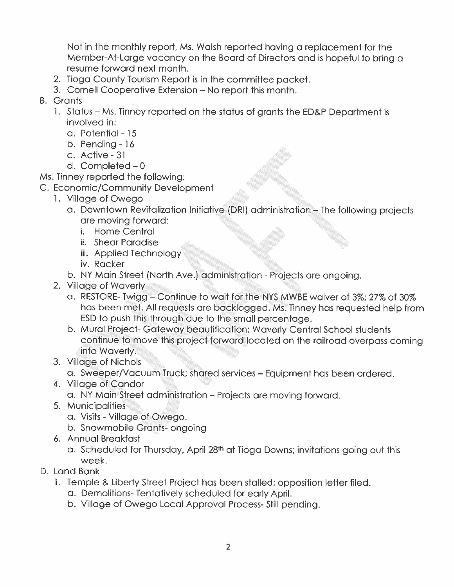Not in the monthly report, Ms. Walsh reported having a replacement for the Member-At-Large vacancy on the Board of Directors and is hopeful to bring a resume forward next month.

- 2. Tioga County Tourism Report is in the committee packet.
- 3. Cornell Cooperative Extension No report this month.
- **B.** Grants
	- 1. Status Ms. Tinney reported on the status of grants the ED&P Department is involved in:
		- a. Potential 15
		- $b.$  Pendina  $16$
		- c. Active 31
		- d. Completed  $-0$
- Ms. Tinney reported the following:
- C. Economic/Community Development
	- 1. Village of Owego
		- a. Downtown Revitalization Initiative (DRI) administration The following projects are moving forward:
			- i. Home Central
			- ii. Shear Paradise
			- iii. Applied Technology
			- iv. Racker
		- b. NY Main Street (North Ave.) administration Projects are ongoing.
	- 2. Village of Waverly
		- a. RESTORE-Twigg Continue to wait for the NYS MWBE waiver of 3%; 27% of 30% has been met. All requests are backlogged. Ms. Tinney has requested help from ESD to push this through due to the small percentage.
		- b. Mural Project-Gateway beautification; Waverly Central School students continue to move this project forward located on the railroad overpass coming into Waverly.
	- 3. Village of Nichols
		- a. Sweeper/Vacuum Truck; shared services Equipment has been ordered.
	- 4. Village of Candor
		- a. NY Main Street administration Projects are moving forward.
	- 5. Municipalities
		- a. Visits Village of Owego.
		- b. Snowmobile Grants- ongoing
	- 6. Annual Breakfast
		- a. Scheduled for Thursday, April 28th at Tioga Downs; invitations going out this week.
- D. Land Bank
	- 1. Temple & Liberty Street Project has been stalled; opposition letter filed.
		- a. Demolitions-Tentatively scheduled for early April.
		- b. Village of Owego Local Approval Process-Still pending.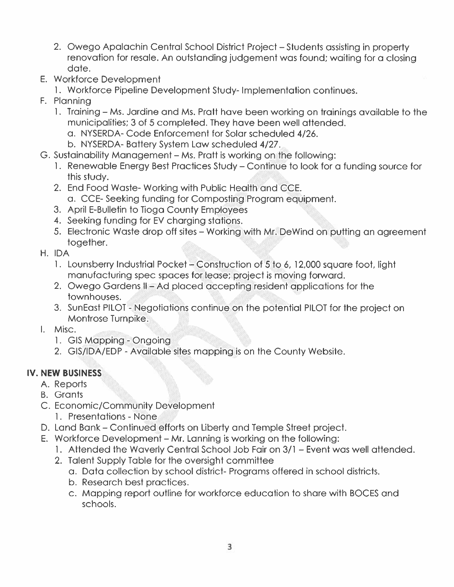- 2. Owego Apalachin Central School District Project Students assisting in property renovation for resale. An outstanding judgement was found; waiting for a closing date.
- E. Workforce Development
	- 1. Workforce Pipeline Development Study-Implementation continues.
- F. Planning
	- 1. Training Ms. Jardine and Ms. Pratt have been working on trainings available to the municipalities; 3 of 5 completed. They have been well attended.
		- a. NYSERDA-Code Enforcement for Solar scheduled 4/26.
		- b. NYSERDA-Battery System Law scheduled 4/27.
- G. Sustainability Management Ms. Pratt is working on the following:
	- 1. Renewable Energy Best Practices Study Continue to look for a funding source for this study.
	- 2. End Food Waste-Working with Public Health and CCE.
		- a. CCE-Seeking funding for Composting Program equipment.
	- 3. April E-Bulletin to Tioga County Employees
	- 4. Seeking funding for EV charging stations.
	- 5. Electronic Waste drop off sites Working with Mr. DeWind on putting an agreement together.
- H. IDA
	- 1. Lounsberry Industrial Pocket Construction of 5 to 6, 12,000 square foot, light manufacturing spec spaces for lease; project is moving forward.
	- 2. Owego Gardens II Ad placed accepting resident applications for the townhouses.
	- 3. SunEast PILOT Negotiations continue on the potential PILOT for the project on Montrose Turnpike.
- I. Misc.
	- 1. GIS Mapping Ongoing
	- 2. GIS/IDA/EDP Available sites mapping is on the County Website.

## IV. NEW BUSINESS

- A. Reports
- **B.** Grants
- C. Economic/Community Development
	- 1. Presentations None
- D. Land Bank Continued efforts on Liberty and Temple Street project.
- E. Workforce Development Mr. Lanning is working on the following:
	- 1. Attended the Waverly Central School Job Fair on 3/1 Event was well attended.
	- 2. Talent Supply Table for the oversight committee
		- a. Data collection by school district- Programs offered in school districts.
		- b. Research best practices.
		- c. Mapping report outline for workforce education to share with BOCES and schools.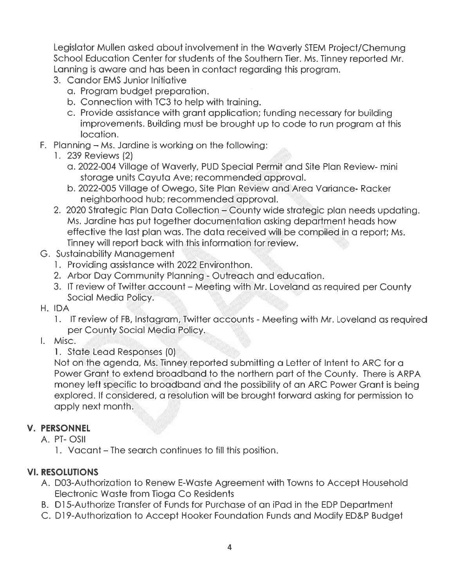Legislator Mullen asked about involvement in the Waverly STEM Project/Chemung School Education Center for students of the Southern Tier, Ms. Tinney reported Mr. Lanning is aware and has been in contact regarding this program.

- 3. Candor EMS Junior Initiative
	- a. Program budget preparation.
	- b. Connection with TC3 to help with training.
	- c. Provide assistance with grant application; funding necessary for building improvements. Building must be brought up to code to run program at this location.
- F. Planning  $-$  Ms. Jardine is working on the following:
	- 1. 239 Reviews (2)
		- a. 2022-004 Village of Waverly, PUD Special Permit and Site Plan Review- mini storage units Cayuta Ave; recommended approval.
		- b. 2022-005 Village of Owego, Site Plan Review and Area Variance-Racker neighborhood hub; recommended approval.
	- 2. 2020 Strategic Plan Data Collection County wide strategic plan needs updating. Ms. Jardine has put together documentation asking department heads how effective the last plan was. The data received will be compiled in a report; Ms. Tinney will report back with this information for review.
- G. Sustainability Management
	- 1. Providing assistance with 2022 Environthon.
	- 2. Arbor Day Community Planning Outreach and education.
	- 3. IT review of Twitter account Meeting with Mr. Loveland as reauired per County Social Media Policy.
- H. IDA
	- 1. IT review of FB, Instagram, Twitter accounts Meeting with Mr. Loveland as required per County Social Media Policy.
- I. Misc.
	- 1. State Lead Responses (0)

Not on the agenda, Ms. Tinney reported submitting a Letter of Intent to ARC for a Power Grant to extend broadband to the northern part of the County. There is ARPA money left specific to broadband and the possibility of an ARC Power Grant is being explored. If considered, a resolution will be brought forward asking for permission to apply next month.

### **V. PERSONNEL**

- A. PT-OSII
	- 1. Vacant The search continues to fill this position.

## **VI. RESOLUTIONS**

- A. D03-Authorization to Renew E-Waste Agreement with Towns to Accept Household Electronic Waste from Tioga Co Residents
- B. D15-Authorize Transfer of Funds for Purchase of an iPad in the EDP Department
- C. D19-Authorization to Accept Hooker Foundation Funds and Modify ED&P Budget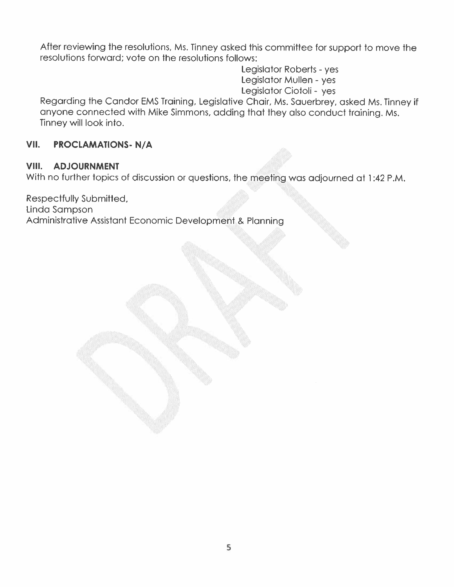After reviewing the resolutions, Ms. Tinney asked this committee for support to move the resolutions forward; vote on the resolutions follows:

> Legislator Roberts - yes Legislator Mullen - yes Legislator Ciotoli - yes

Regarding the Candor EMS Training, Legislative Chair, Ms. Sauerbrey, asked Ms. Tinney if anyone connected with Mike Simmons, adding that they also conduct training. Ms. Tinney will look into.

#### VII. **PROCLAMATIONS-N/A**

#### VIII. **ADJOURNMENT**

With no further topics of discussion or questions, the meeting was adjourned at 1:42 P.M.

Respectfully Submitted, Linda Sampson Administrative Assistant Economic Development & Planning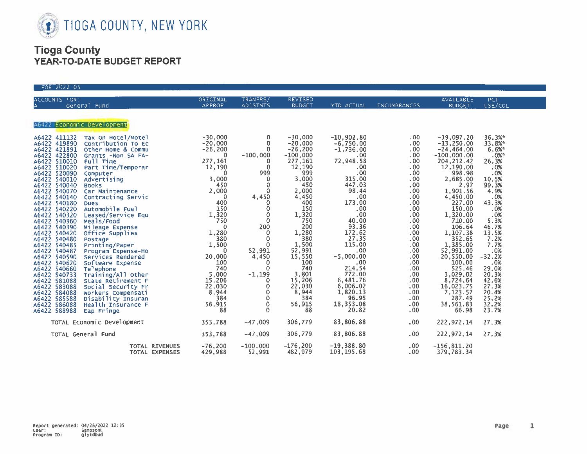

| FOR 2022 05                                                                                                                                                                                                                                                                                                                                                                                                                                                                                                                                                                                                                                                                                                                                                                                                                                                                                                                                                                         |                                                                                                                                                                                                                                                                                                       |                                                                                                                                                                                                                                                                                                                                                |                                                                                                                                                                                                                                                                              |                                                                                                                                                                                                                                                                                                                                            |                                                                                                                                                                                                                                                                                                                                                              |                                                                                                                                                                                                                                                                                                                                                                         |                                                                                                                                                                                                                                                                       |
|-------------------------------------------------------------------------------------------------------------------------------------------------------------------------------------------------------------------------------------------------------------------------------------------------------------------------------------------------------------------------------------------------------------------------------------------------------------------------------------------------------------------------------------------------------------------------------------------------------------------------------------------------------------------------------------------------------------------------------------------------------------------------------------------------------------------------------------------------------------------------------------------------------------------------------------------------------------------------------------|-------------------------------------------------------------------------------------------------------------------------------------------------------------------------------------------------------------------------------------------------------------------------------------------------------|------------------------------------------------------------------------------------------------------------------------------------------------------------------------------------------------------------------------------------------------------------------------------------------------------------------------------------------------|------------------------------------------------------------------------------------------------------------------------------------------------------------------------------------------------------------------------------------------------------------------------------|--------------------------------------------------------------------------------------------------------------------------------------------------------------------------------------------------------------------------------------------------------------------------------------------------------------------------------------------|--------------------------------------------------------------------------------------------------------------------------------------------------------------------------------------------------------------------------------------------------------------------------------------------------------------------------------------------------------------|-------------------------------------------------------------------------------------------------------------------------------------------------------------------------------------------------------------------------------------------------------------------------------------------------------------------------------------------------------------------------|-----------------------------------------------------------------------------------------------------------------------------------------------------------------------------------------------------------------------------------------------------------------------|
| ACCOUNTS FOR:<br>General Fund                                                                                                                                                                                                                                                                                                                                                                                                                                                                                                                                                                                                                                                                                                                                                                                                                                                                                                                                                       | ORIGINAL<br><b>APPROP</b>                                                                                                                                                                                                                                                                             | TRANFRS/<br><b>ADJSTMTS</b>                                                                                                                                                                                                                                                                                                                    | REVISED<br><b>BUDGET</b>                                                                                                                                                                                                                                                     | YTD ACTUAL                                                                                                                                                                                                                                                                                                                                 | <b>ENCUMBRANCES</b>                                                                                                                                                                                                                                                                                                                                          | AVAILABLE<br><b>BUDGET</b>                                                                                                                                                                                                                                                                                                                                              | PCT<br>USE/COL                                                                                                                                                                                                                                                        |
| A6422 Economic Development                                                                                                                                                                                                                                                                                                                                                                                                                                                                                                                                                                                                                                                                                                                                                                                                                                                                                                                                                          |                                                                                                                                                                                                                                                                                                       |                                                                                                                                                                                                                                                                                                                                                |                                                                                                                                                                                                                                                                              |                                                                                                                                                                                                                                                                                                                                            |                                                                                                                                                                                                                                                                                                                                                              |                                                                                                                                                                                                                                                                                                                                                                         |                                                                                                                                                                                                                                                                       |
| A6422 411132 Tax On Hotel/Motel<br>A6422 419890<br>Contribution To EC<br>A6422 421891<br>Other Home & Commu<br>A6422 422800<br>Grants -Non SA FA-<br>A6422 510010<br>Full Time<br>Part Time/Temporar<br>A6422 510020<br>A6422 520090<br>Computer<br>A6422 540010<br>Advertising<br>A6422 540040<br><b>Books</b><br>Car Maintenance<br>A6422 540070<br>A6422 540140<br>Contracting Servic<br>A6422 540180<br><b>Dues</b><br>Contracting Service<br>Dues<br>Automobile Fuel<br>Leased/Service Equ<br>Meals/Food<br>Mileage Expense<br>office Supplies<br>Postage<br>Printing/Paper<br>Program Expense-Ho<br>Services Rendered<br>Services Rendered<br>Social Security Fr<br>Social Se<br>A6422 540220<br>A6422 540320<br>A6422 540360<br>A6422 540390<br>A6422 540420<br>A6422 540480<br>A6422 540485<br>A6422 540487<br>A6422 540590<br>A6422 540620<br>A6422 540660<br>A6422 540733<br>A6422 581088<br>A6422 583088<br>A6422 584088<br>A6422 585588<br>A6422 586088<br>A6422 588988 | $-30,000$<br>$-20,000$<br>$-26,200$<br>$\circ$<br>277, 161<br>$\frac{12}{0}$<br>0<br>3,000<br>450<br>2,000<br>$\Omega$<br>400<br>150<br>1,320<br>750<br>$\Omega$<br>1,280<br>380<br>1,500<br>$\mathbf{0}$<br>20,000<br>100<br>740<br>$\frac{5,000}{15,206}$<br>22,030<br>8,944<br>384<br>56,915<br>88 | $\mathbf 0$<br>$\circ$<br>$\mathbf 0$<br>$-100,000$<br>0<br>$\Omega$<br>999<br>$\mathbf 0$<br>$\mathbf 0$<br>$\Omega$<br>4,450<br>$\mathbf 0$<br>0<br>$\circ$<br>$\circ$<br>200<br>$\mathbf{0}$<br>$\mathbf{0}$<br>0<br>52,991<br>$-4,450$<br>$\overline{0}$<br>$\Omega$<br>$-1, 199$<br>0<br>0<br>$\circ$<br>$\mathbf 0$<br>0<br>$\mathbf{0}$ | $-30,000$<br>$-20,000$<br>$-26,200$<br>$-100,000$<br>277,161<br>12,190<br>999<br>3,000<br>450<br>2,000<br>4,450<br>400<br>150<br>1,320<br>750<br>200<br>1,280<br>380<br>1,500<br>52,991<br>15,550<br>100<br>740<br>3,801<br>15,206<br>22,030<br>8,944<br>384<br>56,915<br>88 | $-10,902.80$<br>$-6,750.00$<br>$-1,736.00$<br>$.00 \cdot$<br>72,948.58<br>.00 <sub>1</sub><br>.00<br>315.00<br>447.03<br>98.44<br>.00<br>173.00<br>.00.<br>.00<br>40.00<br>93.36<br>$\frac{172.62}{27.35}$<br>115.00<br>.00<br>$-5,000.00$<br>.00<br>214.54<br>772.00<br>6,481.76<br>$6,006.02$<br>1,820.13<br>96.95<br>18,353.08<br>20.82 | $.00 \cdot$<br>$.00 \cdot$<br>.00 <sub>1</sub><br>.00 <sub>1</sub><br>.00 <sub>1</sub><br>.00 <sub>1</sub><br>.00<br>.00.<br>.00.<br>.00.<br>.00<br>.00 <sub>1</sub><br>.00 <sub>1</sub><br>.00<br>.00<br>.00<br>.00<br>.00.<br>.00.<br>.00<br>.00<br>$.00 \,$<br>.00.<br>.00 <sub>1</sub><br>.00<br>.00 <sub>1</sub><br>.00<br>.00.<br>$.00 \times$<br>.00. | $-19,097.20$<br>$-13,250.00$<br>$-24, 464.00$<br>$-100,000.00$<br>204, 212.42<br>12,190.00<br>998.98<br>2,685.00<br>2.97<br>1,901.56<br>4,450.00<br>227.00<br>150.00<br>1,320.00<br>710.00<br>106.64<br>1,107.38<br>352.65<br>1,385.00<br>52,991.00<br>20,550.00<br>100.00<br>525.46<br>3,029.02<br>$8,724.64$<br>16,023.75<br>7,123.57<br>287.49<br>38,561.83<br>66.98 | 36.3%*<br>33.8%*<br>6.6%<br>$.0%$ *<br>26.3%<br>.0%<br>.0%<br>10.5%<br>99.3%<br>4.9%<br>.0%<br>43.3%<br>.0%<br>.0%<br>5.3%<br>46.7%<br>$\frac{13.5%}{7.2%}$<br>7.7%<br>.0%<br>$-32.2%$<br>.0%<br>29.0%<br>20.3%<br>42.6%<br>27.3%<br>20.4%<br>25.2%<br>32.2%<br>23.7% |
| TOTAL Economic Development                                                                                                                                                                                                                                                                                                                                                                                                                                                                                                                                                                                                                                                                                                                                                                                                                                                                                                                                                          | 353,788                                                                                                                                                                                                                                                                                               | $-47,009$                                                                                                                                                                                                                                                                                                                                      | 306,779                                                                                                                                                                                                                                                                      | 83,806.88                                                                                                                                                                                                                                                                                                                                  | .00 <sub>1</sub>                                                                                                                                                                                                                                                                                                                                             | 222,972.14                                                                                                                                                                                                                                                                                                                                                              | 27.3%                                                                                                                                                                                                                                                                 |
| TOTAL General Fund                                                                                                                                                                                                                                                                                                                                                                                                                                                                                                                                                                                                                                                                                                                                                                                                                                                                                                                                                                  | 353,788                                                                                                                                                                                                                                                                                               | $-47,009$                                                                                                                                                                                                                                                                                                                                      | 306,779                                                                                                                                                                                                                                                                      | 83,806.88                                                                                                                                                                                                                                                                                                                                  | .00 <sub>1</sub>                                                                                                                                                                                                                                                                                                                                             | 222, 972.14                                                                                                                                                                                                                                                                                                                                                             | 27.3%                                                                                                                                                                                                                                                                 |
| TOTAL REVENUES<br>TOTAL EXPENSES                                                                                                                                                                                                                                                                                                                                                                                                                                                                                                                                                                                                                                                                                                                                                                                                                                                                                                                                                    | $-76,200$<br>429.988                                                                                                                                                                                                                                                                                  | $-100,000$<br>52.991                                                                                                                                                                                                                                                                                                                           | $-176,200$<br>482.979                                                                                                                                                                                                                                                        | $-19,388.80$<br>103, 195, 68                                                                                                                                                                                                                                                                                                               | $.00 \times$<br>.00.                                                                                                                                                                                                                                                                                                                                         | $-156,811.20$<br>379.783.34                                                                                                                                                                                                                                                                                                                                             |                                                                                                                                                                                                                                                                       |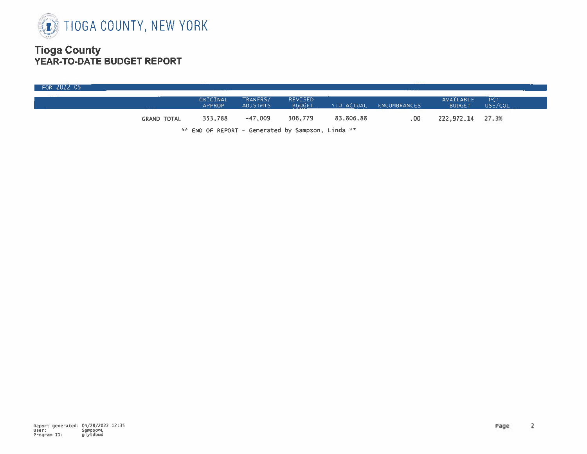

| FOR 2022 05 |                    |                                                                                                                                                                                                                                |                             |                          |            |              |                            |                |
|-------------|--------------------|--------------------------------------------------------------------------------------------------------------------------------------------------------------------------------------------------------------------------------|-----------------------------|--------------------------|------------|--------------|----------------------------|----------------|
|             |                    | ORIGINAL<br><b>APPROP</b>                                                                                                                                                                                                      | TRANFRS/<br><b>ADJSTMTS</b> | REVISED<br><b>BUDGET</b> | YTD ACTUAL | ENCUMBRANCES | AVAILABLE<br><b>BUDGET</b> | PCT<br>USE/COL |
|             | <b>GRAND TOTAL</b> | 353.788                                                                                                                                                                                                                        | $-47,009$                   | 306,779                  | 83,806.88  | .00          | 222,972.14                 | 27.3%          |
|             |                    | the state of the second control of the state of the state of the state of the state of the state of the state of the state of the state of the state of the state of the state of the state of the state of the state of the s |                             |                          |            |              |                            |                |

\*\* END OF REPORT - Generated by Sampson, Linda \*\*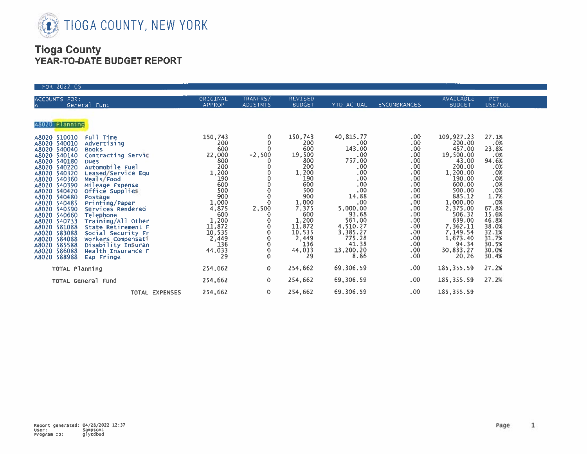

| FOR 2022 05                                                                                                                                                                                                                                                                                                                                                                                                                                                                                                                                                                                                                                                                                                                                 |                                                                                                                                                                                                         |                                                                                                                          |                                                                                                                                                                                    |                                                                                                                                                                                                             |                                                                                                                                                                                        |                                                                                                                                                                                                                                     |                                                                                                                                                              |
|---------------------------------------------------------------------------------------------------------------------------------------------------------------------------------------------------------------------------------------------------------------------------------------------------------------------------------------------------------------------------------------------------------------------------------------------------------------------------------------------------------------------------------------------------------------------------------------------------------------------------------------------------------------------------------------------------------------------------------------------|---------------------------------------------------------------------------------------------------------------------------------------------------------------------------------------------------------|--------------------------------------------------------------------------------------------------------------------------|------------------------------------------------------------------------------------------------------------------------------------------------------------------------------------|-------------------------------------------------------------------------------------------------------------------------------------------------------------------------------------------------------------|----------------------------------------------------------------------------------------------------------------------------------------------------------------------------------------|-------------------------------------------------------------------------------------------------------------------------------------------------------------------------------------------------------------------------------------|--------------------------------------------------------------------------------------------------------------------------------------------------------------|
| ACCOUNTS FOR:<br>General Fund                                                                                                                                                                                                                                                                                                                                                                                                                                                                                                                                                                                                                                                                                                               | ORIGINAL<br>APPROP                                                                                                                                                                                      | TRANFRS/<br><b>ADJSTMTS</b>                                                                                              | <b>REVISED</b><br><b>BUDGET</b>                                                                                                                                                    | YTD ACTUAL                                                                                                                                                                                                  | <b>ENCUMBRANCES</b>                                                                                                                                                                    | AVAILABLE<br><b>BUDGET</b>                                                                                                                                                                                                          | <b>PCT</b><br>USE/COL                                                                                                                                        |
| A8020 Planning                                                                                                                                                                                                                                                                                                                                                                                                                                                                                                                                                                                                                                                                                                                              |                                                                                                                                                                                                         |                                                                                                                          |                                                                                                                                                                                    |                                                                                                                                                                                                             |                                                                                                                                                                                        |                                                                                                                                                                                                                                     |                                                                                                                                                              |
| Full Time<br>A8020 510010<br>A8020 540010<br>Advertising<br>A8020 540040<br><b>Books</b><br>A8020 540140<br>Contracting Servic<br>A8020 540180<br><b>Dues</b><br>Automobile Fuel<br>A8020 540220<br>A8020 540320<br>Leased/Service Equ<br>A8020 540360<br>Meals/Food<br>A8020 540390<br>Mileage Expense<br>A8020 540420<br>Office Supplies<br>A8020 540480<br>Postage<br>A8020 540485<br>Printing/Paper<br>A8020 540590<br>Services Rendered<br>A8020 540660<br>Telephone<br>A8020 540733<br>Training/All Other<br>A8020 581088<br>State Retirement F<br>A8020 583088<br>Social Security Fr<br>A8020 584088<br>Workers Compensati<br>A8020 585588<br>Disability Insuran<br>Health Insurance F<br>A8020 586088<br>A8020 588988<br>Eap Fringe | 150,743<br>200<br>600<br>22,000<br>800<br>200<br>1,200<br>190<br>600<br>500<br>900<br>1,000<br>4,875<br>600<br>$\begin{array}{c} 1,200 \\ 11,872 \\ 10,535 \end{array}$<br>2,449<br>136<br>44,033<br>29 | $\mathbf 0$<br>$\mathbf 0$<br>$\mathbf{0}$<br>$-2,500$<br>0<br>0<br>$\circ$<br>2,500<br>0<br>0<br>0<br>0<br>$\mathbf{0}$ | 150,743<br>200<br>600<br>19,500<br>800<br>200<br>1,200<br>190<br>600<br>500<br>900<br>1,000<br>7,375<br>600<br>$1,200$<br>$11,872$<br>$10,535$<br>$2,449$<br>$136$<br>44,033<br>29 | 40,815.77<br>.00 <sub>1</sub><br>143.00<br>.00<br>757.00<br>.00<br>.00<br>.00<br>.00<br>.00<br>14.88<br>.00.<br>5,000.00<br>93.68<br>561.00<br>4,510.27<br>3,385.27<br>775.28<br>41.38<br>13,200.20<br>8.86 | .00.<br>.00 <sub>1</sub><br>.00.<br>.00.<br>.00<br>.00<br>.00<br>.00<br>.00<br>.00.<br>.00, 00, 00<br>.00 <sub>1</sub><br>.00<br>.00<br>.00.<br>.00<br>.00.<br>.00.<br>$.00 \,$<br>.00 | 109, 927. 23<br>200.00<br>457.00<br>19,500.00<br>43.00<br>200.00<br>1,200.00<br>190.00<br>600.00<br>500.00<br>885.12<br>1,000.00<br>2,375.00<br>506.32<br>639.00<br>7,362.11<br>7,149.54<br>1,673.40<br>94.34<br>30,833.27<br>20.26 | 27.1%<br>.0%<br>23.8%<br>.0%<br>94.6%<br>.0%<br>$.0%$<br>$.0%$<br>.0%<br>.0%<br>1.7%<br>67.8%<br>46.8%<br>38.0%<br>32.1%<br>31.7%<br>30.5%<br>30.0%<br>30.4% |
| TOTAL Planning                                                                                                                                                                                                                                                                                                                                                                                                                                                                                                                                                                                                                                                                                                                              | 254,662                                                                                                                                                                                                 | $\mathbf{0}$                                                                                                             | 254,662                                                                                                                                                                            | 69,306.59                                                                                                                                                                                                   | $.00 \,$                                                                                                                                                                               | 185, 355.59                                                                                                                                                                                                                         | 27.2%                                                                                                                                                        |
| TOTAL General Fund                                                                                                                                                                                                                                                                                                                                                                                                                                                                                                                                                                                                                                                                                                                          | 254,662                                                                                                                                                                                                 | $\mathbf{0}$                                                                                                             | 254,662                                                                                                                                                                            | 69,306.59                                                                                                                                                                                                   | .00.                                                                                                                                                                                   | 185, 355.59                                                                                                                                                                                                                         | 27.2%                                                                                                                                                        |
| TOTAL EXPENSES                                                                                                                                                                                                                                                                                                                                                                                                                                                                                                                                                                                                                                                                                                                              | 254,662                                                                                                                                                                                                 | $\circ$                                                                                                                  | 254,662                                                                                                                                                                            | 69,306.59                                                                                                                                                                                                   | $.00 \times$                                                                                                                                                                           | 185, 355.59                                                                                                                                                                                                                         |                                                                                                                                                              |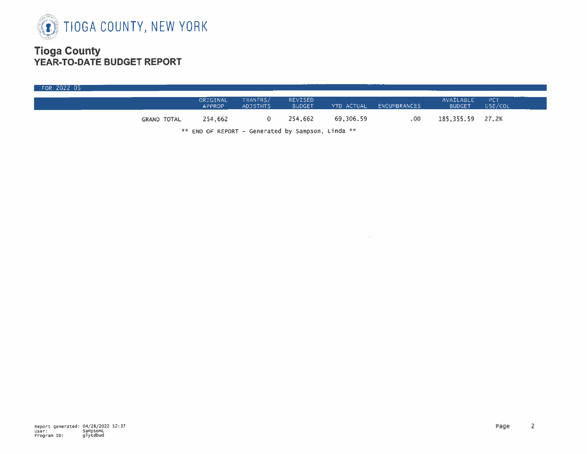

| FOR 2022 05 |                    |                                                                                                                                                                                                                                |                             |                                 |           |                         |                            |                       |  |
|-------------|--------------------|--------------------------------------------------------------------------------------------------------------------------------------------------------------------------------------------------------------------------------|-----------------------------|---------------------------------|-----------|-------------------------|----------------------------|-----------------------|--|
|             |                    | ORIGINAL<br><b>APPROP</b>                                                                                                                                                                                                      | TRANFRS/<br><b>ADJSTMTS</b> | <b>REVISED</b><br><b>BUDGET</b> |           | YTD ACTUAL ENCUMBRANCES | AVAILABLE<br><b>BUDGET</b> | <b>PCT</b><br>USE/COL |  |
|             | <b>GRAND TOTAL</b> | 254.662                                                                                                                                                                                                                        |                             | 254,662                         | 69,306.59 | . 00                    | 185,355.59 27.2%           |                       |  |
|             |                    | the communication of the communication of the communication of the communication of the communication of the communication of the communication of the communication of the communication of the communication of the communic |                             |                                 |           |                         |                            |                       |  |

\*\* END OF REPORT - Generated by Sampson, Linda \*\*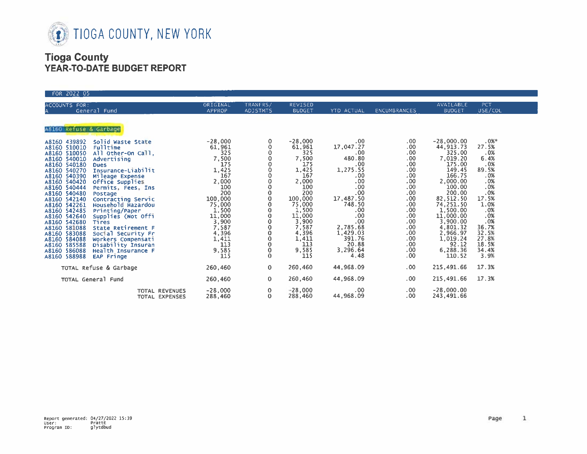

| FOR 2022 05                                                                                                                                                                                                                                                                             |                                                                                |                                                                |                                                                                 |                                                                                         |                                                                                |                                                                                       |                                                             |
|-----------------------------------------------------------------------------------------------------------------------------------------------------------------------------------------------------------------------------------------------------------------------------------------|--------------------------------------------------------------------------------|----------------------------------------------------------------|---------------------------------------------------------------------------------|-----------------------------------------------------------------------------------------|--------------------------------------------------------------------------------|---------------------------------------------------------------------------------------|-------------------------------------------------------------|
| ACCOUNTS FOR:<br>General Fund                                                                                                                                                                                                                                                           | ORIGINAL<br>APPROP                                                             | TRANFRS/<br><b>ADJSTMTS</b>                                    | REVISED<br><b>BUDGET</b>                                                        | YTD ACTUAL                                                                              | <b>ENCUMBRANCES</b>                                                            | AVAILABLE<br><b>BUDGET</b>                                                            | PCT.<br>USE/COL                                             |
| A8160 Refuse & Garbage<br>Solid waste State<br>A8160 439892                                                                                                                                                                                                                             | $-28,000$                                                                      |                                                                | $-28,000$                                                                       | .00.                                                                                    | .00.                                                                           | $-28,000.00$                                                                          | $.0%$ *                                                     |
| A8160 510010<br>Fulltime<br>A8160 510050<br>All Other-On Call,<br>A8160 540010<br>Advertising<br>A8160 540180<br><b>Dues</b><br>A8160 540270<br>Insurance-Liabilit<br>A8160 540390<br>Mileage Expense<br>A8160 540420<br>Office Supplies<br>A8160 540444<br>Permits Fees, Ins.          | 61,961<br>325<br>7,500<br>175<br>1,425<br>167<br>2,000<br>100                  | 0<br>o                                                         | 61,961<br>325<br>7,500<br>175<br>1,425<br>167<br>2,000<br>100                   | 17,047.27<br>.00<br>480.80<br>.00<br>1,275.55<br>.00<br>.00.<br>.00.                    | .00<br>.00<br>.00 <sub>1</sub><br>.00.<br>.00.<br>.00<br>.00.<br>.00.          | 44, 913. 73<br>325.00<br>7,019.20<br>175.00<br>149.45<br>166.75<br>2,000.00<br>100.00 | 27.5%<br>.0%<br>6.4%<br>.0%<br>89.5%<br>.0%<br>.0%<br>.0%   |
| A8160 540480<br>Postage<br>A8160 542140<br>Contracting Servic<br>Household Hazardou<br>A8160 542261<br>A8160 542485<br>Printing/Paper<br>A8160 542640<br>Supplies (Not Offi<br>A8160 542680<br><b>Tires</b><br>A8160 581088<br>State Retirement F<br>A8160 583088<br>Social Security Fr | 200<br>100,000<br>75,000<br>$1,500$<br>$11,000$<br>$3,900$<br>$7,587$<br>4,396 | $\circ$<br>$\mathbf 0$<br>0<br>0<br>0<br>0<br>0<br>$\mathbf 0$ | 200<br>100,000<br>75,000<br>1,500<br>11,000<br>3,900<br>7,587<br>4,396<br>1,411 | $.00 \,$<br>17,487.50<br>748.50<br>.00.<br>.00<br>.00<br>2,785.68<br>1,429.03<br>391.76 | .00.<br>.00.<br>.00.<br>.00<br>.00.<br>.00.<br>.00 <sub>1</sub><br>$.00 \cdot$ | 200.00<br>82,512.50<br>74, 251.50<br>1, 500.00<br>11,000.00<br>3,900.00<br>4,801.32   | .0%<br>17.5%<br>1.0%<br>.0%<br>.0%<br>.0%<br>36.7%<br>32.5% |
| A8160 584088<br>Workers Compensati<br>A8160 585588<br>Disability Insuran<br>A8160 586088<br>Health Insurance F<br>A8160 588988<br>EAP Fringe                                                                                                                                            | 1,411<br>113<br>9,585<br>115                                                   | 0<br>$\mathbf 0$<br>$\mathbf 0$<br>$\mathbf 0$                 | 113<br>9,585<br>115                                                             | 20.88<br>3,296.64<br>4.48                                                               | $.00 \,$<br>.00<br>.00.<br>.00 <sub>1</sub>                                    | 2,966.97<br>1,019.24<br>92.12<br>6,288.36<br>110.52                                   | 27.8%<br>18.5%<br>34.4%<br>3.9%                             |
| TOTAL Refuse & Garbage                                                                                                                                                                                                                                                                  | 260,460                                                                        | $\mathbf{O}$                                                   | 260,460                                                                         | 44,968.09                                                                               | $.00 \cdot$                                                                    | 215,491.66                                                                            | 17.3%                                                       |
| TOTAL General Fund                                                                                                                                                                                                                                                                      | 260,460                                                                        | $\mathbf{0}$                                                   | 260,460                                                                         | 44,968.09                                                                               | .00                                                                            | 215,491.66                                                                            | 17.3%                                                       |
| <b>TOTAL REVENUES</b><br>TOTAL EXPENSES                                                                                                                                                                                                                                                 | $-28,000$<br>288,460                                                           | 0.<br>$\circ$                                                  | $-28,000$<br>288,460                                                            | .00<br>44,968.09                                                                        | $.00 \,$<br>.00.                                                               | $-28,000.00$<br>243,491.66                                                            |                                                             |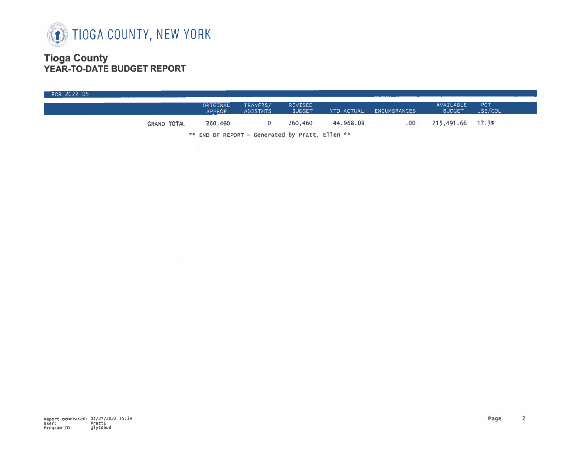

| FOR 2022 05                                        |                    |                           |                             |                          |            |              |                            |                       |  |  |
|----------------------------------------------------|--------------------|---------------------------|-----------------------------|--------------------------|------------|--------------|----------------------------|-----------------------|--|--|
|                                                    |                    | ORIGINAL<br><b>APPROP</b> | TRANFRS/<br><b>ADJSTMTS</b> | REVISED<br><b>BUDGET</b> | YTD ACTUAL | ENCUMBRANCES | AVAILABLE<br><b>BUDGET</b> | <b>PCT</b><br>USE/COL |  |  |
|                                                    | <b>GRAND TOTAL</b> | 260.460                   |                             | 260,460                  | 44,968.09  | .00.         | 215,491.66 17.3%           |                       |  |  |
| $*$ END OF REPORT - Generated by Pratt. Ellen $**$ |                    |                           |                             |                          |            |              |                            |                       |  |  |